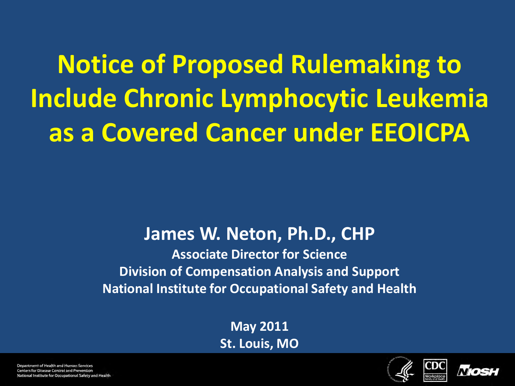**Notice of Proposed Rulemaking to Include Chronic Lymphocytic Leukemia as a Covered Cancer under EEOICPA**

#### **James W. Neton, Ph.D., CHP**

**Associate Director for Science Division of Compensation Analysis and Support National Institute for Occupational Safety and Health**

> **May 2011 St. Louis, MO**





Department of Health and Human Services Centers for Disease Control and Prevention National Institute for Occupational Safety and Health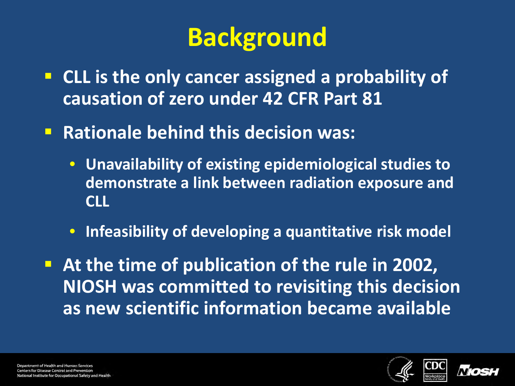# **Background**

- **EXTE CLL is the only cancer assigned a probability of causation of zero under 42 CFR Part 81**
- **Rationale behind this decision was:** 
	- **Unavailability of existing epidemiological studies to demonstrate a link between radiation exposure and CLL**
	- **Infeasibility of developing a quantitative risk model**

 **At the time of publication of the rule in 2002, NIOSH was committed to revisiting this decision as new scientific information became available**



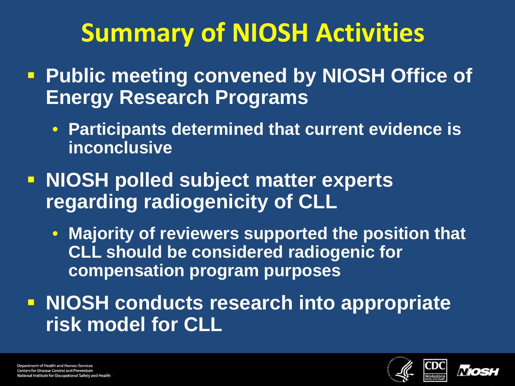# **Summary of NIOSH Activities**

- **Public meeting convened by NIOSH Office of Energy Research Programs**
	- **Participants determined that current evidence is inconclusive**
- **NIOSH polled subject matter experts regarding radiogenicity of CLL**
	- **Majority of reviewers supported the position that CLL should be considered radiogenic for compensation program purposes**

**NIOSH conducts research into appropriate risk model for CLL**



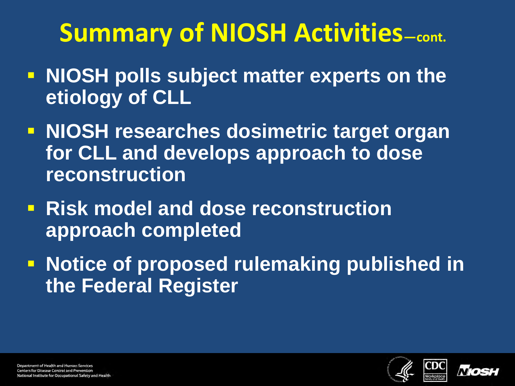# **Summary of NIOSH Activities-cont.**

- **NIOSH polls subject matter experts on the etiology of CLL**
- **NIOSH researches dosimetric target organ for CLL and develops approach to dose reconstruction**
- **Risk model and dose reconstruction approach completed**
- **Notice of proposed rulemaking published in the Federal Register**



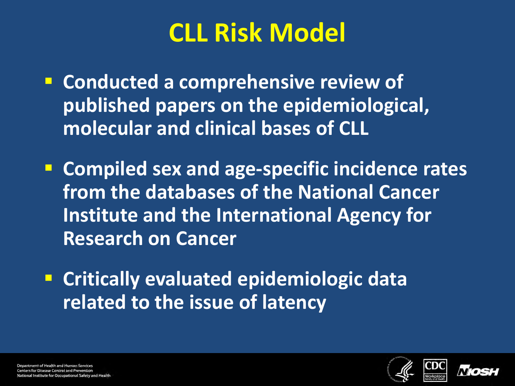# **CLL Risk Model**

- **Conducted a comprehensive review of published papers on the epidemiological, molecular and clinical bases of CLL**
- **Compiled sex and age-specific incidence rates from the databases of the National Cancer Institute and the International Agency for Research on Cancer**
- **Critically evaluated epidemiologic data related to the issue of latency**





Department of Health and Human Services **Centers for Disease Control and Prevention** nal Institute for Occupational Safety and Health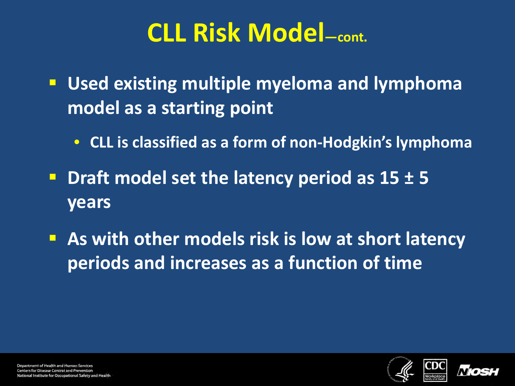#### **CLL Risk Model—cont.**

- **Used existing multiple myeloma and lymphoma model as a starting point**
	- **CLL is classified as a form of non-Hodgkin's lymphoma**
- **Draft model set the latency period as 15 ± 5 years**
- **As with other models risk is low at short latency periods and increases as a function of time**



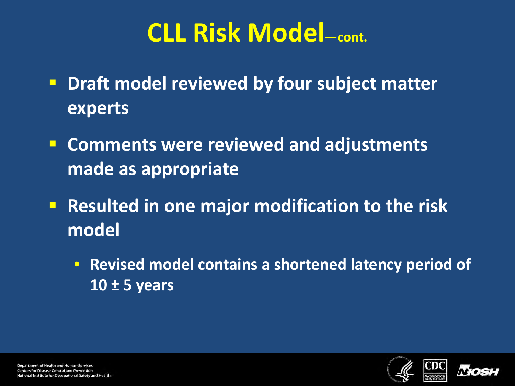#### **CLL Risk Model—cont.**

- **P** Draft model reviewed by four subject matter **experts**
- **Comments were reviewed and adjustments made as appropriate**
- **Resulted in one major modification to the risk model**
	- **Revised model contains a shortened latency period of 10 ± 5 years**





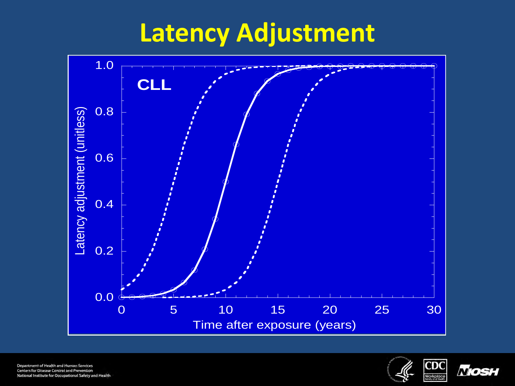### **Latency Adjustment**





Mosr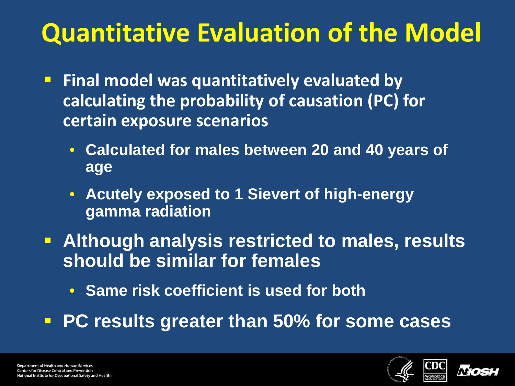# **Quantitative Evaluation of the Model**

- **Final model was quantitatively evaluated by calculating the probability of causation (PC) for certain exposure scenarios**
	- **Calculated for males between 20 and 40 years of age**
	- **Acutely exposed to 1 Sievert of high-energy gamma radiation**
- **Although analysis restricted to males, results should be similar for females**
	- **Same risk coefficient is used for both**
- **PC results greater than 50% for some cases**



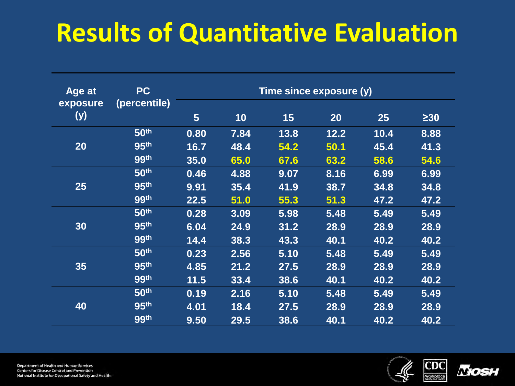# **Results of Quantitative Evaluation**

| Age at<br>exposure | <b>PC</b><br>(percentile) | Time since exposure (y) |      |      |      |      |           |
|--------------------|---------------------------|-------------------------|------|------|------|------|-----------|
| (y)                |                           | $5\phantom{1}$          | 10   | 15   | 20   | 25   | $\geq$ 30 |
| 20                 | 50th                      | 0.80                    | 7.84 | 13.8 | 12.2 | 10.4 | 8.88      |
|                    | 95th                      | 16.7                    | 48.4 | 54.2 | 50.1 | 45.4 | 41.3      |
|                    | 99th                      | 35.0                    | 65.0 | 67.6 | 63.2 | 58.6 | 54.6      |
| 25                 | 50th                      | 0.46                    | 4.88 | 9.07 | 8.16 | 6.99 | 6.99      |
|                    | 95th                      | 9.91                    | 35.4 | 41.9 | 38.7 | 34.8 | 34.8      |
|                    | 99th                      | 22.5                    | 51.0 | 55.3 | 51.3 | 47.2 | 47.2      |
| 30                 | 50th                      | 0.28                    | 3.09 | 5.98 | 5.48 | 5.49 | 5.49      |
|                    | 95th                      | 6.04                    | 24.9 | 31.2 | 28.9 | 28.9 | 28.9      |
|                    | 99th                      | 14.4                    | 38.3 | 43.3 | 40.1 | 40.2 | 40.2      |
| 35                 | 50th                      | 0.23                    | 2.56 | 5.10 | 5.48 | 5.49 | 5.49      |
|                    | 95th                      | 4.85                    | 21.2 | 27.5 | 28.9 | 28.9 | 28.9      |
|                    | 99th                      | 11.5                    | 33.4 | 38.6 | 40.1 | 40.2 | 40.2      |
| 40                 | 50th                      | 0.19                    | 2.16 | 5.10 | 5.48 | 5.49 | 5.49      |
|                    | 95th                      | 4.01                    | 18.4 | 27.5 | 28.9 | 28.9 | 28.9      |
|                    | 99th                      | 9.50                    | 29.5 | 38.6 | 40.1 | 40.2 | 40.2      |



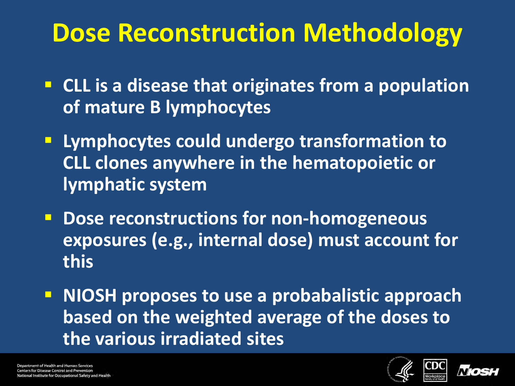#### **Dose Reconstruction Methodology**

- **EXTL IS a disease that originates from a population of mature B lymphocytes**
- **Lymphocytes could undergo transformation to CLL clones anywhere in the hematopoietic or lymphatic system**
- **Dose reconstructions for non-homogeneous exposures (e.g., internal dose) must account for this**
- **NIOSH proposes to use a probabalistic approach based on the weighted average of the doses to the various irradiated sites**



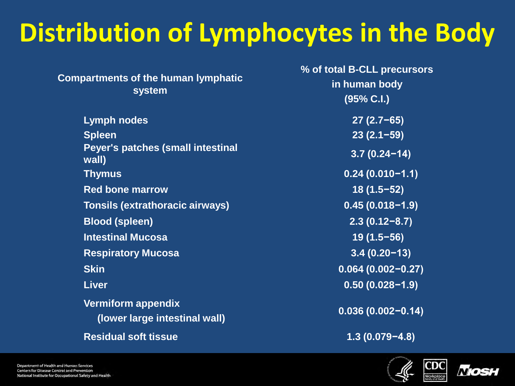# **Distribution of Lymphocytes in the Body**

| <b>Compartments of the human lymphatic</b><br>system       | % of total B-CLL precursors<br>in human body<br>(95% C.I.) |  |  |
|------------------------------------------------------------|------------------------------------------------------------|--|--|
| <b>Lymph nodes</b>                                         | $27(2.7-65)$                                               |  |  |
| <b>Spleen</b>                                              | $23(2.1-59)$                                               |  |  |
| Peyer's patches (small intestinal<br>wall)                 | $3.7(0.24 - 14)$                                           |  |  |
| <b>Thymus</b>                                              | $0.24(0.010-1.1)$                                          |  |  |
| <b>Red bone marrow</b>                                     | $18(1.5-52)$                                               |  |  |
| <b>Tonsils (extrathoracic airways)</b>                     | $0.45(0.018-1.9)$                                          |  |  |
| <b>Blood (spleen)</b>                                      | $2.3(0.12-8.7)$                                            |  |  |
| <b>Intestinal Mucosa</b>                                   | $19(1.5-56)$                                               |  |  |
| <b>Respiratory Mucosa</b>                                  | $3.4(0.20-13)$                                             |  |  |
| <b>Skin</b>                                                | $0.064(0.002 - 0.27)$                                      |  |  |
| <b>Liver</b>                                               | $0.50(0.028 - 1.9)$                                        |  |  |
| <b>Vermiform appendix</b><br>(lower large intestinal wall) | $0.036(0.002 - 0.14)$                                      |  |  |
| <b>Residual soft tissue</b>                                | $1.3(0.079 - 4.8)$                                         |  |  |



Workplace

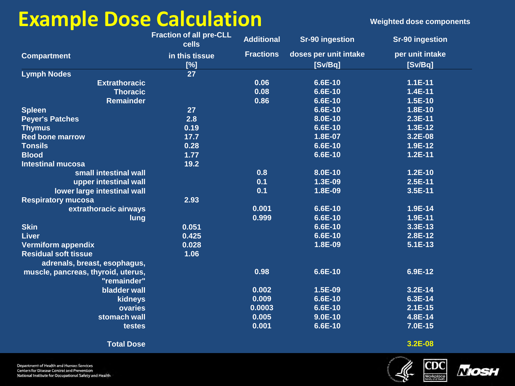#### **Example Dose Calculation Example Pose Calculation**

|                                                   | <b>Fraction of all pre-CLL</b><br>cells | <b>Additional</b> | <b>Sr-90 ingestion</b> | <b>Sr-90 ingestion</b> |
|---------------------------------------------------|-----------------------------------------|-------------------|------------------------|------------------------|
| <b>Compartment</b>                                | in this tissue                          | <b>Fractions</b>  | doses per unit intake  | per unit intake        |
|                                                   | [%]                                     |                   | [Sv/Bq]                | [Sv/Bq]                |
| <b>Lymph Nodes</b>                                | 27                                      |                   |                        |                        |
| <b>Extrathoracic</b>                              |                                         | 0.06              | 6.6E-10                | $1.1E-11$              |
| <b>Thoracic</b>                                   |                                         | 0.08              | 6.6E-10                | 1.4E-11                |
| <b>Remainder</b>                                  |                                         | 0.86              | 6.6E-10                | 1.5E-10                |
| <b>Spleen</b>                                     | 27                                      |                   | 6.6E-10                | 1.8E-10                |
| <b>Peyer's Patches</b>                            | 2.8                                     |                   | 8.0E-10                | $2.3E-11$              |
| <b>Thymus</b>                                     | 0.19                                    |                   | 6.6E-10                | $1.3E-12$              |
| <b>Red bone marrow</b>                            | 17.7                                    |                   | 1.8E-07                | 3.2E-08                |
| <b>Tonsils</b>                                    | 0.28                                    |                   | 6.6E-10                | 1.9E-12                |
| <b>Blood</b>                                      | 1.77                                    |                   | 6.6E-10                | $1.2E-11$              |
| <b>Intestinal mucosa</b>                          | 19.2                                    |                   |                        |                        |
| small intestinal wall                             |                                         | 0.8               | 8.0E-10                | $1.2E-10$              |
| upper intestinal wall                             |                                         | 0.1               | 1.3E-09                | $2.5E-11$              |
| lower large intestinal wall                       |                                         | 0.1               | 1.8E-09                | 3.5E-11                |
| <b>Respiratory mucosa</b>                         | 2.93                                    |                   |                        |                        |
| extrathoracic airways                             |                                         | 0.001             | 6.6E-10                | 1.9E-14                |
| lung                                              |                                         | 0.999             | 6.6E-10                | 1.9E-11                |
| <b>Skin</b>                                       | 0.051                                   |                   | 6.6E-10                | 3.3E-13                |
| <b>Liver</b>                                      | 0.425                                   |                   | 6.6E-10                | 2.8E-12                |
| <b>Vermiform appendix</b>                         | 0.028                                   |                   | 1.8E-09                | $5.1E-13$              |
| <b>Residual soft tissue</b>                       | 1.06                                    |                   |                        |                        |
| adrenals, breast, esophagus,                      |                                         |                   |                        |                        |
| muscle, pancreas, thyroid, uterus,<br>"remainder" |                                         | 0.98              | 6.6E-10                | 6.9E-12                |
| bladder wall                                      |                                         | 0.002             | 1.5E-09                | 3.2E-14                |
| kidneys                                           |                                         | 0.009             | 6.6E-10                | 6.3E-14                |
| ovaries                                           |                                         | 0.0003            | 6.6E-10                | $2.1E-15$              |
| stomach wall                                      |                                         | 0.005             | $9.0E-10$              | 4.8E-14                |
| testes                                            |                                         | 0.001             | 6.6E-10                | 7.0E-15                |
| <b>Total Dose</b>                                 |                                         |                   |                        | 3.2E-08                |

Department of Health and Human Services Centers for Disease Control and Prevention National Institute for Occupational Safety and Health



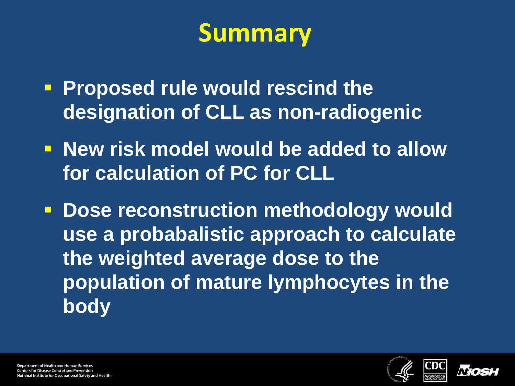#### **Summary**

- **Proposed rule would rescind the designation of CLL as non-radiogenic**
- **New risk model would be added to allow for calculation of PC for CLL**
- **E** Dose reconstruction methodology would **use a probabalistic approach to calculate the weighted average dose to the population of mature lymphocytes in the body**